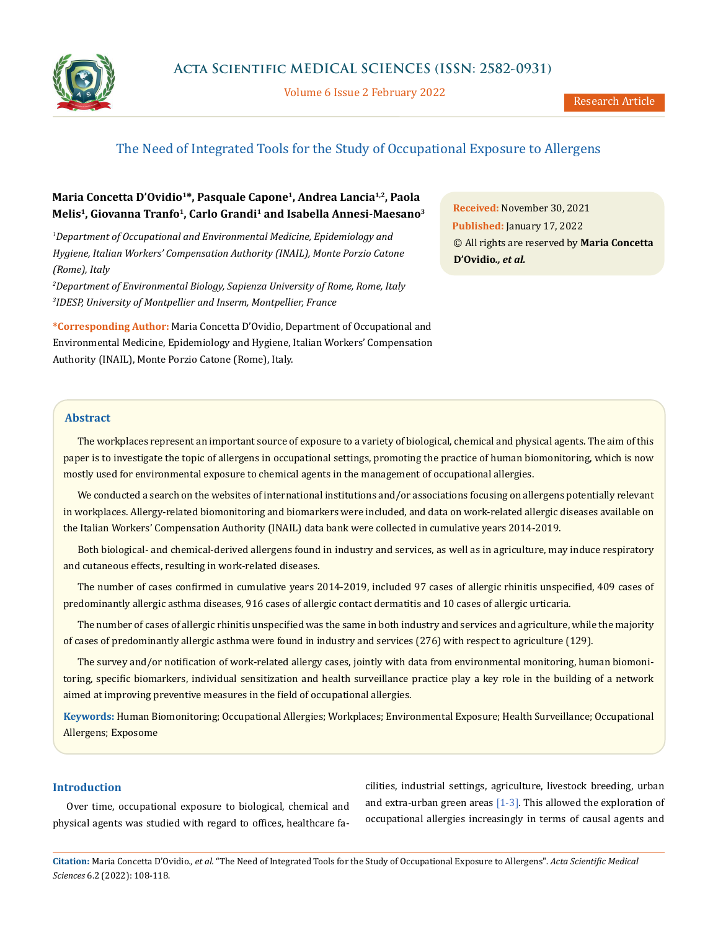

Volume 6 Issue 2 February 2022

# The Need of Integrated Tools for the Study of Occupational Exposure to Allergens

# **Maria Concetta D'Ovidio1\*, Pasquale Capone1, Andrea Lancia1,2, Paola Melis1, Giovanna Tranfo1, Carlo Grandi1 and Isabella Annesi-Maesano3**

*1 Department of Occupational and Environmental Medicine, Epidemiology and Hygiene, Italian Workers' Compensation Authority (INAIL), Monte Porzio Catone (Rome), Italy*

*2 Department of Environmental Biology, Sapienza University of Rome, Rome, Italy 3 IDESP, University of Montpellier and Inserm, Montpellier, France*

**\*Corresponding Author:** Maria Concetta D'Ovidio, Department of Occupational and Environmental Medicine, Epidemiology and Hygiene, Italian Workers' Compensation Authority (INAIL), Monte Porzio Catone (Rome), Italy.

**Received:** November 30, 2021 **Published:** January 17, 2022 © All rights are reserved by **Maria Concetta D'Ovidio***., et al.*

#### **Abstract**

The workplaces represent an important source of exposure to a variety of biological, chemical and physical agents. The aim of this paper is to investigate the topic of allergens in occupational settings, promoting the practice of human biomonitoring, which is now mostly used for environmental exposure to chemical agents in the management of occupational allergies.

We conducted a search on the websites of international institutions and/or associations focusing on allergens potentially relevant in workplaces. Allergy-related biomonitoring and biomarkers were included, and data on work-related allergic diseases available on the Italian Workers' Compensation Authority (INAIL) data bank were collected in cumulative years 2014-2019.

Both biological- and chemical-derived allergens found in industry and services, as well as in agriculture, may induce respiratory and cutaneous effects, resulting in work-related diseases.

The number of cases confirmed in cumulative years 2014-2019, included 97 cases of allergic rhinitis unspecified, 409 cases of predominantly allergic asthma diseases, 916 cases of allergic contact dermatitis and 10 cases of allergic urticaria.

The number of cases of allergic rhinitis unspecified was the same in both industry and services and agriculture, while the majority of cases of predominantly allergic asthma were found in industry and services (276) with respect to agriculture (129).

The survey and/or notification of work-related allergy cases, jointly with data from environmental monitoring, human biomonitoring, specific biomarkers, individual sensitization and health surveillance practice play a key role in the building of a network aimed at improving preventive measures in the field of occupational allergies.

**Keywords:** Human Biomonitoring; Occupational Allergies; Workplaces; Environmental Exposure; Health Surveillance; Occupational Allergens; Exposome

### **Introduction**

Over time, occupational exposure to biological, chemical and physical agents was studied with regard to offices, healthcare facilities, industrial settings, agriculture, livestock breeding, urban and extra-urban green areas  $[1-3]$ . This allowed the exploration of occupational allergies increasingly in terms of causal agents and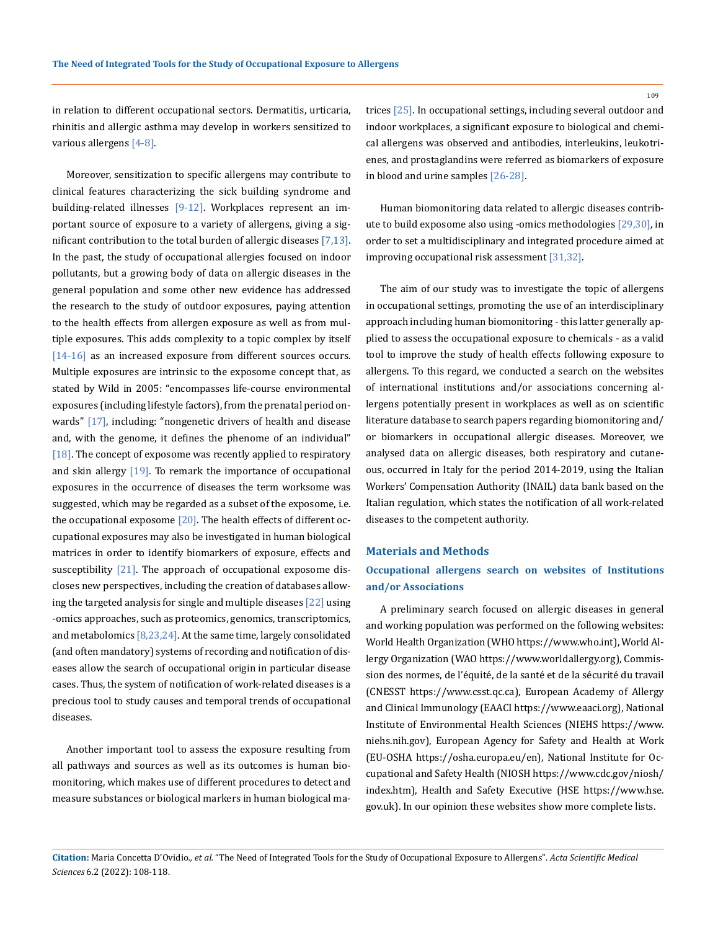in relation to different occupational sectors. Dermatitis, urticaria, rhinitis and allergic asthma may develop in workers sensitized to various allergens [4-8].

Moreover, sensitization to specific allergens may contribute to clinical features characterizing the sick building syndrome and building-related illnesses [9-12]. Workplaces represent an important source of exposure to a variety of allergens, giving a significant contribution to the total burden of allergic diseases [7,13]. In the past, the study of occupational allergies focused on indoor pollutants, but a growing body of data on allergic diseases in the general population and some other new evidence has addressed the research to the study of outdoor exposures, paying attention to the health effects from allergen exposure as well as from multiple exposures. This adds complexity to a topic complex by itself [14-16] as an increased exposure from different sources occurs. Multiple exposures are intrinsic to the exposome concept that, as stated by Wild in 2005: "encompasses life-course environmental exposures (including lifestyle factors), from the prenatal period onwards" [17], including: "nongenetic drivers of health and disease and, with the genome, it defines the phenome of an individual" [18]. The concept of exposome was recently applied to respiratory and skin allergy  $[19]$ . To remark the importance of occupational exposures in the occurrence of diseases the term worksome was suggested, which may be regarded as a subset of the exposome, i.e. the occupational exposome  $[20]$ . The health effects of different occupational exposures may also be investigated in human biological matrices in order to identify biomarkers of exposure, effects and susceptibility  $\lceil 21 \rceil$ . The approach of occupational exposome discloses new perspectives, including the creation of databases allowing the targeted analysis for single and multiple diseases [22] using -omics approaches, such as proteomics, genomics, transcriptomics, and metabolomics  $[8,23,24]$ . At the same time, largely consolidated (and often mandatory) systems of recording and notification of diseases allow the search of occupational origin in particular disease cases. Thus, the system of notification of work-related diseases is a precious tool to study causes and temporal trends of occupational diseases.

Another important tool to assess the exposure resulting from all pathways and sources as well as its outcomes is human biomonitoring, which makes use of different procedures to detect and measure substances or biological markers in human biological matrices [25]. In occupational settings, including several outdoor and indoor workplaces, a significant exposure to biological and chemical allergens was observed and antibodies, interleukins, leukotrienes, and prostaglandins were referred as biomarkers of exposure in blood and urine samples [26-28].

Human biomonitoring data related to allergic diseases contribute to build exposome also using -omics methodologies [29,30], in order to set a multidisciplinary and integrated procedure aimed at improving occupational risk assessment [31,32].

The aim of our study was to investigate the topic of allergens in occupational settings, promoting the use of an interdisciplinary approach including human biomonitoring - this latter generally applied to assess the occupational exposure to chemicals - as a valid tool to improve the study of health effects following exposure to allergens. To this regard, we conducted a search on the websites of international institutions and/or associations concerning allergens potentially present in workplaces as well as on scientific literature database to search papers regarding biomonitoring and/ or biomarkers in occupational allergic diseases. Moreover, we analysed data on allergic diseases, both respiratory and cutaneous, occurred in Italy for the period 2014-2019, using the Italian Workers' Compensation Authority (INAIL) data bank based on the Italian regulation, which states the notification of all work-related diseases to the competent authority.

#### **Materials and Methods**

## **Occupational allergens search on websites of Institutions and/or Associations**

A preliminary search focused on allergic diseases in general and working population was performed on the following websites: World Health Organization (WHO [https://www.who.int\)](https://www.who.int), World Allergy Organization (WAO<https://www.worldallergy.org>), Commission des normes, de l'équité, de la santé et de la sécurité du travail (CNESST <https://www.csst.qc.ca>), European Academy of Allergy and Clinical Immunology (EAACI [https://www.eaaci.org\)](https://www.eaaci.org), National Institute of Environmental Health Sciences (NIEHS [https://www.](https://www.niehs.nih.gov) [niehs.nih.gov](https://www.niehs.nih.gov)), European Agency for Safety and Health at Work (EU-OSHA [https://osha.europa.eu/en\)](https://osha.europa.eu/en), National Institute for Occupational and Safety Health (NIOSH [https://www.cdc.gov/niosh/](https://www.cdc.gov/niosh/index.htm) [index.htm](https://www.cdc.gov/niosh/index.htm)), Health and Safety Executive (HSE [https://www.hse.](https://www.hse.gov.uk) [gov.uk](https://www.hse.gov.uk)). In our opinion these websites show more complete lists.

**Citation:** Maria Concetta D'Ovidio*., et al.* "The Need of Integrated Tools for the Study of Occupational Exposure to Allergens". *Acta Scientific Medical Sciences* 6.2 (2022): 108-118.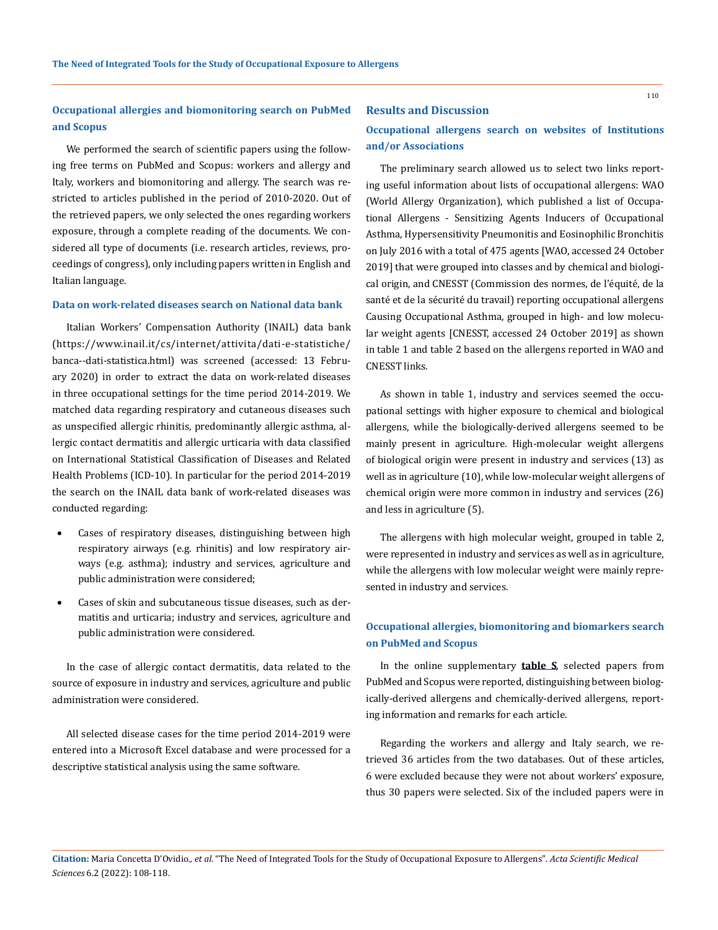# **Occupational allergies and biomonitoring search on PubMed and Scopus**

We performed the search of scientific papers using the following free terms on PubMed and Scopus: workers and allergy and Italy, workers and biomonitoring and allergy. The search was restricted to articles published in the period of 2010-2020. Out of the retrieved papers, we only selected the ones regarding workers exposure, through a complete reading of the documents. We considered all type of documents (i.e. research articles, reviews, proceedings of congress), only including papers written in English and Italian language.

#### **Data on work-related diseases search on National data bank**

Italian Workers' Compensation Authority (INAIL) data bank (https://www.inail.it/cs/internet/attivita/dati-e-statistiche/ banca--dati-statistica.html) was screened (accessed: 13 February 2020) in order to extract the data on work-related diseases in three occupational settings for the time period 2014-2019. We matched data regarding respiratory and cutaneous diseases such as unspecified allergic rhinitis, predominantly allergic asthma, allergic contact dermatitis and allergic urticaria with data classified on International Statistical Classification of Diseases and Related Health Problems (ICD-10). In particular for the period 2014-2019 the search on the INAIL data bank of work-related diseases was conducted regarding:

- Cases of respiratory diseases, distinguishing between high respiratory airways (e.g. rhinitis) and low respiratory airways (e.g. asthma); industry and services, agriculture and public administration were considered;
- Cases of skin and subcutaneous tissue diseases, such as dermatitis and urticaria; industry and services, agriculture and public administration were considered.

In the case of allergic contact dermatitis, data related to the source of exposure in industry and services, agriculture and public administration were considered.

All selected disease cases for the time period 2014-2019 were entered into a Microsoft Excel database and were processed for a descriptive statistical analysis using the same software.

#### **Results and Discussion**

## **Occupational allergens search on websites of Institutions and/or Associations**

The preliminary search allowed us to select two links reporting useful information about lists of occupational allergens: WAO (World Allergy Organization), which published a list of Occupational Allergens - Sensitizing Agents Inducers of Occupational Asthma, Hypersensitivity Pneumonitis and Eosinophilic Bronchitis on July 2016 with a total of 475 agents [WAO, accessed 24 October 2019] that were grouped into classes and by chemical and biological origin, and CNESST (Commission des normes, de l'équité, de la santé et de la sécurité du travail) reporting occupational allergens Causing Occupational Asthma, grouped in high- and low molecular weight agents [CNESST, accessed 24 October 2019] as shown in table 1 and table 2 based on the allergens reported in WAO and CNESST links.

As shown in table 1, industry and services seemed the occupational settings with higher exposure to chemical and biological allergens, while the biologically-derived allergens seemed to be mainly present in agriculture. High-molecular weight allergens of biological origin were present in industry and services (13) as well as in agriculture (10), while low-molecular weight allergens of chemical origin were more common in industry and services (26) and less in agriculture (5).

The allergens with high molecular weight, grouped in table 2, were represented in industry and services as well as in agriculture, while the allergens with low molecular weight were mainly represented in industry and services.

## **Occupational allergies, biomonitoring and biomarkers search on PubMed and Scopus**

In the online supplementary **[table S](https://view.officeapps.live.com/op/view.aspx?src=https%3A%2F%2Factascientific.com%2FASMS%2Fpdf%2FSupplementary%2520table.docx&wdOrigin=BROWSELINK)**, selected papers from PubMed and Scopus were reported, distinguishing between biologically-derived allergens and chemically-derived allergens, reporting information and remarks for each article.

Regarding the workers and allergy and Italy search, we retrieved 36 articles from the two databases. Out of these articles, 6 were excluded because they were not about workers' exposure, thus 30 papers were selected. Six of the included papers were in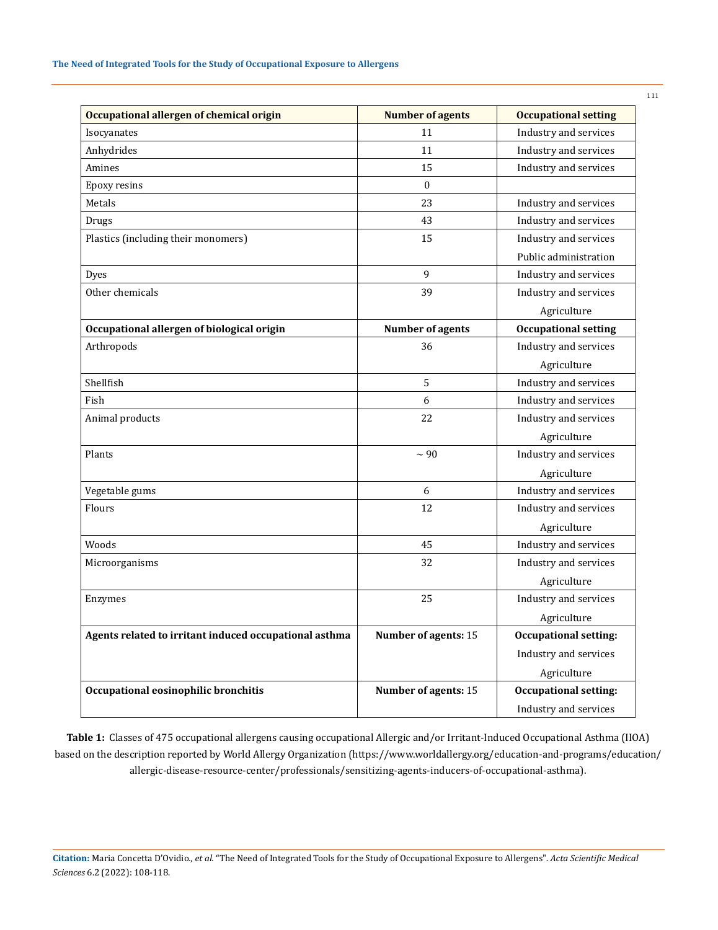| Occupational allergen of chemical origin               | <b>Number of agents</b> | <b>Occupational setting</b>  |  |  |
|--------------------------------------------------------|-------------------------|------------------------------|--|--|
| Isocyanates                                            | 11                      | Industry and services        |  |  |
| Anhydrides                                             | 11                      | Industry and services        |  |  |
| Amines                                                 | 15                      | Industry and services        |  |  |
| Epoxy resins                                           | $\Omega$                |                              |  |  |
| Metals                                                 | 23                      | Industry and services        |  |  |
| Drugs                                                  | 43                      | Industry and services        |  |  |
| Plastics (including their monomers)                    | 15                      | Industry and services        |  |  |
|                                                        |                         | Public administration        |  |  |
| <b>Dyes</b>                                            | 9                       | Industry and services        |  |  |
| Other chemicals                                        | 39                      | Industry and services        |  |  |
|                                                        |                         | Agriculture                  |  |  |
| Occupational allergen of biological origin             | Number of agents        | <b>Occupational setting</b>  |  |  |
| Arthropods                                             | 36                      | Industry and services        |  |  |
|                                                        |                         | Agriculture                  |  |  |
| Shellfish                                              | 5                       | Industry and services        |  |  |
| Fish                                                   | 6                       | Industry and services        |  |  |
| Animal products                                        | 22                      | Industry and services        |  |  |
|                                                        |                         | Agriculture                  |  |  |
| Plants                                                 | $\sim$ 90               | Industry and services        |  |  |
|                                                        |                         | Agriculture                  |  |  |
| Vegetable gums                                         | 6                       | Industry and services        |  |  |
| Flours                                                 | 12                      | Industry and services        |  |  |
|                                                        |                         | Agriculture                  |  |  |
| Woods                                                  | 45                      | Industry and services        |  |  |
| Microorganisms                                         | 32                      | Industry and services        |  |  |
|                                                        |                         | Agriculture                  |  |  |
| Enzymes                                                | 25                      | Industry and services        |  |  |
|                                                        |                         | Agriculture                  |  |  |
| Agents related to irritant induced occupational asthma | Number of agents: 15    | <b>Occupational setting:</b> |  |  |
|                                                        |                         | Industry and services        |  |  |
|                                                        |                         | Agriculture                  |  |  |
| Occupational eosinophilic bronchitis                   | Number of agents: 15    | <b>Occupational setting:</b> |  |  |
|                                                        |                         | Industry and services        |  |  |

**Table 1:** Classes of 475 occupational allergens causing occupational Allergic and/or Irritant-Induced Occupational Asthma (IIOA) based on the description reported by World Allergy Organization [\(https://www.worldallergy.org/education-and-programs/education/](https://www.worldallergy.org/education-and-programs/education/allergic-disease-resource-center/professionals/sensitizing-agents-inducers-of-occupational-asthma) [allergic-disease-resource-center/professionals/sensitizing-agents-inducers-of-occupational-asthma\)](https://www.worldallergy.org/education-and-programs/education/allergic-disease-resource-center/professionals/sensitizing-agents-inducers-of-occupational-asthma).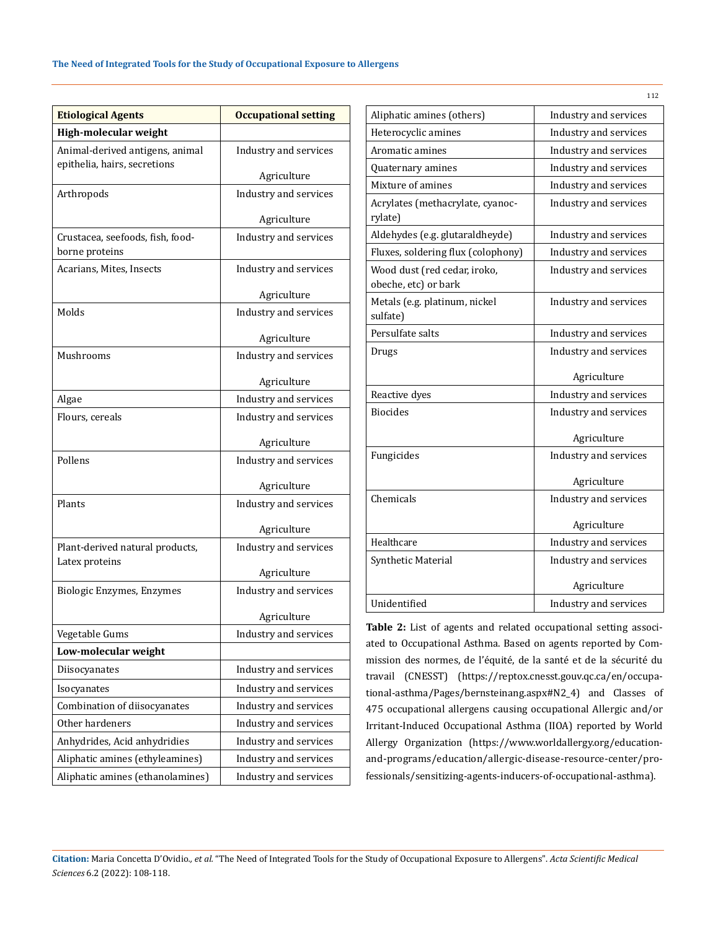| <b>Etiological Agents</b>                                       | <b>Occupational setting</b> |  |  |  |
|-----------------------------------------------------------------|-----------------------------|--|--|--|
| High-molecular weight                                           |                             |  |  |  |
| Animal-derived antigens, animal<br>epithelia, hairs, secretions | Industry and services       |  |  |  |
|                                                                 | Agriculture                 |  |  |  |
| Arthropods                                                      | Industry and services       |  |  |  |
|                                                                 | Agriculture                 |  |  |  |
| Crustacea, seefoods, fish, food-                                | Industry and services       |  |  |  |
| borne proteins                                                  |                             |  |  |  |
| Acarians, Mites, Insects                                        | Industry and services       |  |  |  |
|                                                                 | Agriculture                 |  |  |  |
| Molds                                                           | Industry and services       |  |  |  |
|                                                                 | Agriculture                 |  |  |  |
| Mushrooms                                                       | Industry and services       |  |  |  |
|                                                                 | Agriculture                 |  |  |  |
| Algae                                                           | Industry and services       |  |  |  |
| Flours, cereals                                                 | Industry and services       |  |  |  |
|                                                                 | Agriculture                 |  |  |  |
| Pollens                                                         | Industry and services       |  |  |  |
|                                                                 | Agriculture                 |  |  |  |
| Plants                                                          | Industry and services       |  |  |  |
|                                                                 | Agriculture                 |  |  |  |
| Plant-derived natural products,                                 | Industry and services       |  |  |  |
| Latex proteins                                                  | Agriculture                 |  |  |  |
| Biologic Enzymes, Enzymes                                       | Industry and services       |  |  |  |
|                                                                 |                             |  |  |  |
|                                                                 | Agriculture                 |  |  |  |
| Vegetable Gums                                                  | Industry and services       |  |  |  |
| Low-molecular weight                                            |                             |  |  |  |
| Diisocyanates                                                   | Industry and services       |  |  |  |
| Isocyanates                                                     | Industry and services       |  |  |  |
| Combination of diisocyanates                                    | Industry and services       |  |  |  |
| Other hardeners                                                 | Industry and services       |  |  |  |
| Anhydrides, Acid anhydridies                                    | Industry and services       |  |  |  |
| Aliphatic amines (ethyleamines)                                 | Industry and services       |  |  |  |
| Aliphatic amines (ethanolamines)                                | Industry and services       |  |  |  |

|                                                      | 112                   |  |  |
|------------------------------------------------------|-----------------------|--|--|
| Aliphatic amines (others)                            | Industry and services |  |  |
| Heterocyclic amines                                  | Industry and services |  |  |
| Aromatic amines                                      | Industry and services |  |  |
| Quaternary amines                                    | Industry and services |  |  |
| Mixture of amines                                    | Industry and services |  |  |
| Acrylates (methacrylate, cyanoc-<br>rylate)          | Industry and services |  |  |
| Aldehydes (e.g. glutaraldheyde)                      | Industry and services |  |  |
| Fluxes, soldering flux (colophony)                   | Industry and services |  |  |
| Wood dust (red cedar, iroko,<br>obeche, etc) or bark | Industry and services |  |  |
| Metals (e.g. platinum, nickel<br>sulfate)            | Industry and services |  |  |
| Persulfate salts                                     | Industry and services |  |  |
| Drugs                                                | Industry and services |  |  |
|                                                      | Agriculture           |  |  |
| Reactive dyes                                        | Industry and services |  |  |
| <b>Biocides</b>                                      | Industry and services |  |  |
|                                                      | Agriculture           |  |  |
| Fungicides                                           | Industry and services |  |  |
|                                                      | Agriculture           |  |  |
| Chemicals                                            | Industry and services |  |  |
|                                                      | Agriculture           |  |  |
| Healthcare                                           | Industry and services |  |  |
| Synthetic Material                                   | Industry and services |  |  |
|                                                      | Agriculture           |  |  |
| Unidentified                                         | Industry and services |  |  |

**Table 2:** List of agents and related occupational setting associated to Occupational Asthma. Based on agents reported by Commission des normes, de l'équité, de la santé et de la sécurité du travail (CNESST) [\(https://reptox.cnesst.gouv.qc.ca/en/occupa](https://reptox.cnesst.gouv.qc.ca/en/occupational-asthma/Pages/bernsteinang.aspx#N2_4)[tional-asthma/Pages/bernsteinang.aspx#N2\\_4\)](https://reptox.cnesst.gouv.qc.ca/en/occupational-asthma/Pages/bernsteinang.aspx#N2_4) and Classes of 475 occupational allergens causing occupational Allergic and/or Irritant-Induced Occupational Asthma (IIOA) reported by World Allergy Organization ([https://www.worldallergy.org/education](https://www.worldallergy.org/education-and-programs/education/allergic-disease-resource-center/professionals/sensitizing-agents-inducers-of-occupational-asthma)[and-programs/education/allergic-disease-resource-center/pro](https://www.worldallergy.org/education-and-programs/education/allergic-disease-resource-center/professionals/sensitizing-agents-inducers-of-occupational-asthma)[fessionals/sensitizing-agents-inducers-of-occupational-asthma\)](https://www.worldallergy.org/education-and-programs/education/allergic-disease-resource-center/professionals/sensitizing-agents-inducers-of-occupational-asthma).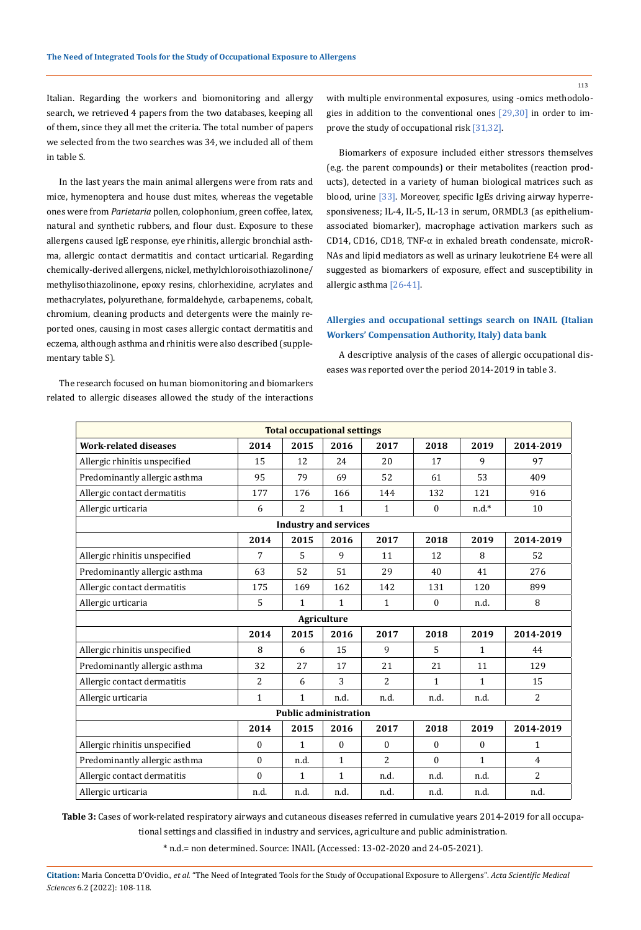Italian. Regarding the workers and biomonitoring and allergy search, we retrieved 4 papers from the two databases, keeping all of them, since they all met the criteria. The total number of papers we selected from the two searches was 34, we included all of them in table S.

In the last years the main animal allergens were from rats and mice, hymenoptera and house dust mites, whereas the vegetable ones were from *Parietaria* pollen, colophonium, green coffee, latex, natural and synthetic rubbers, and flour dust. Exposure to these allergens caused IgE response, eye rhinitis, allergic bronchial asthma, allergic contact dermatitis and contact urticarial. Regarding chemically-derived allergens, nickel, methylchloroisothiazolinone/ methylisothiazolinone, epoxy resins, chlorhexidine, acrylates and methacrylates, polyurethane, formaldehyde, carbapenems, cobalt, chromium, cleaning products and detergents were the mainly reported ones, causing in most cases allergic contact dermatitis and eczema, although asthma and rhinitis were also described (supplementary table S).

The research focused on human biomonitoring and biomarkers related to allergic diseases allowed the study of the interactions with multiple environmental exposures, using -omics methodologies in addition to the conventional ones [29,30] in order to improve the study of occupational risk [31,32].

Biomarkers of exposure included either stressors themselves (e.g. the parent compounds) or their metabolites (reaction products), detected in a variety of human biological matrices such as blood, urine [33]. Moreover, specific IgEs driving airway hyperresponsiveness; IL-4, IL-5, IL-13 in serum, ORMDL3 (as epitheliumassociated biomarker), macrophage activation markers such as CD14, CD16, CD18, TNF-α in exhaled breath condensate, microR-NAs and lipid mediators as well as urinary leukotriene E4 were all suggested as biomarkers of exposure, effect and susceptibility in allergic asthma [26-41].

## **Allergies and occupational settings search on INAIL (Italian Workers' Compensation Authority, Italy) data bank**

A descriptive analysis of the cases of allergic occupational diseases was reported over the period 2014-2019 in table 3.

| <b>Total occupational settings</b> |              |              |                  |                |                  |              |                |  |  |
|------------------------------------|--------------|--------------|------------------|----------------|------------------|--------------|----------------|--|--|
| <b>Work-related diseases</b>       | 2014         | 2015         | 2016             | 2017           | 2018             | 2019         | 2014-2019      |  |  |
| Allergic rhinitis unspecified      | 15           | 12           | 24               | 20             | 17               | 9            | 97             |  |  |
| Predominantly allergic asthma      | 95           | 79           | 69               | 52             | 61               | 53           | 409            |  |  |
| Allergic contact dermatitis        | 177          | 176          | 166              | 144            | 132              | 121          | 916            |  |  |
| Allergic urticaria                 | 6            | 2            | $\mathbf{1}$     | $\mathbf{1}$   | $\mathbf{0}$     | $n.d.*$      | 10             |  |  |
| <b>Industry and services</b>       |              |              |                  |                |                  |              |                |  |  |
|                                    | 2014         | 2015         | 2016             | 2017           | 2018             | 2019         | 2014-2019      |  |  |
| Allergic rhinitis unspecified      | 7            | 5            | 9                | 11             | 12               | 8            | 52             |  |  |
| Predominantly allergic asthma      | 63           | 52           | 51               | 29             | 40               | 41           | 276            |  |  |
| Allergic contact dermatitis        | 175          | 169          | 162              | 142            | 131              | 120          | 899            |  |  |
| Allergic urticaria                 | 5            | 1            | $\mathbf{1}$     | $\mathbf{1}$   | $\mathbf{0}$     | n.d.         | 8              |  |  |
| <b>Agriculture</b>                 |              |              |                  |                |                  |              |                |  |  |
|                                    | 2014         | 2015         | 2016             | 2017           | 2018             | 2019         | 2014-2019      |  |  |
| Allergic rhinitis unspecified      | 8            | 6            | 15               | $\mathbf{q}$   | 5                | $\mathbf{1}$ | 44             |  |  |
| Predominantly allergic asthma      | 32           | 27           | 17               | 21             | 21               | 11           | 129            |  |  |
| Allergic contact dermatitis        | 2            | 6            | 3                | $\overline{2}$ | 1                | $\mathbf{1}$ | 15             |  |  |
| Allergic urticaria                 | 1            | 1            | n.d.             | n.d.           | n.d.             | n.d.         | 2              |  |  |
| <b>Public administration</b>       |              |              |                  |                |                  |              |                |  |  |
|                                    | 2014         | 2015         | 2016             | 2017           | 2018             | 2019         | 2014-2019      |  |  |
| Allergic rhinitis unspecified      | $\mathbf{0}$ | $\mathbf{1}$ | $\boldsymbol{0}$ | $\Omega$       | $\boldsymbol{0}$ | $\mathbf{0}$ | $\mathbf{1}$   |  |  |
| Predominantly allergic asthma      | $\theta$     | n.d.         | $\mathbf{1}$     | $\overline{2}$ | $\Omega$         | $\mathbf{1}$ | $\overline{4}$ |  |  |
| Allergic contact dermatitis        | $\theta$     | $\mathbf{1}$ | $\mathbf{1}$     | n.d.           | n.d.             | n.d.         | $\overline{c}$ |  |  |
| Allergic urticaria                 | n.d.         | n.d.         | n.d.             | n.d.           | n.d.             | n.d.         | n.d.           |  |  |

**Table 3:** Cases of work-related respiratory airways and cutaneous diseases referred in cumulative years 2014-2019 for all occupational settings and classified in industry and services, agriculture and public administration.

\* n.d.= non determined. Source: INAIL (Accessed: 13-02-2020 and 24-05-2021).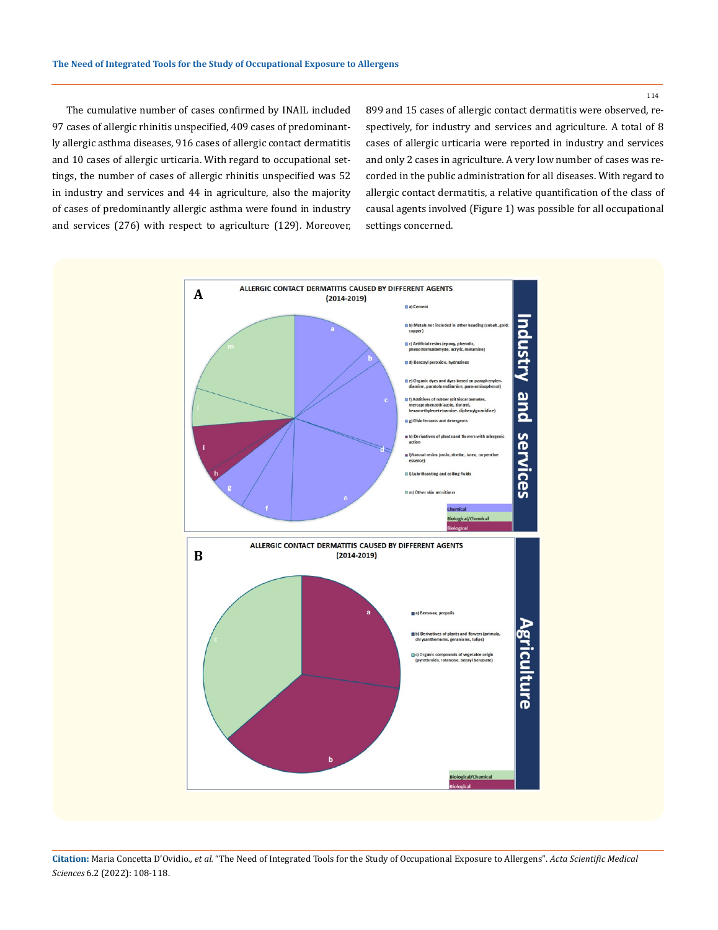114

The cumulative number of cases confirmed by INAIL included 97 cases of allergic rhinitis unspecified, 409 cases of predominantly allergic asthma diseases, 916 cases of allergic contact dermatitis and 10 cases of allergic urticaria. With regard to occupational settings, the number of cases of allergic rhinitis unspecified was 52 in industry and services and 44 in agriculture, also the majority of cases of predominantly allergic asthma were found in industry and services (276) with respect to agriculture (129). Moreover, 899 and 15 cases of allergic contact dermatitis were observed, respectively, for industry and services and agriculture. A total of 8 cases of allergic urticaria were reported in industry and services and only 2 cases in agriculture. A very low number of cases was recorded in the public administration for all diseases. With regard to allergic contact dermatitis, a relative quantification of the class of causal agents involved (Figure 1) was possible for all occupational settings concerned.

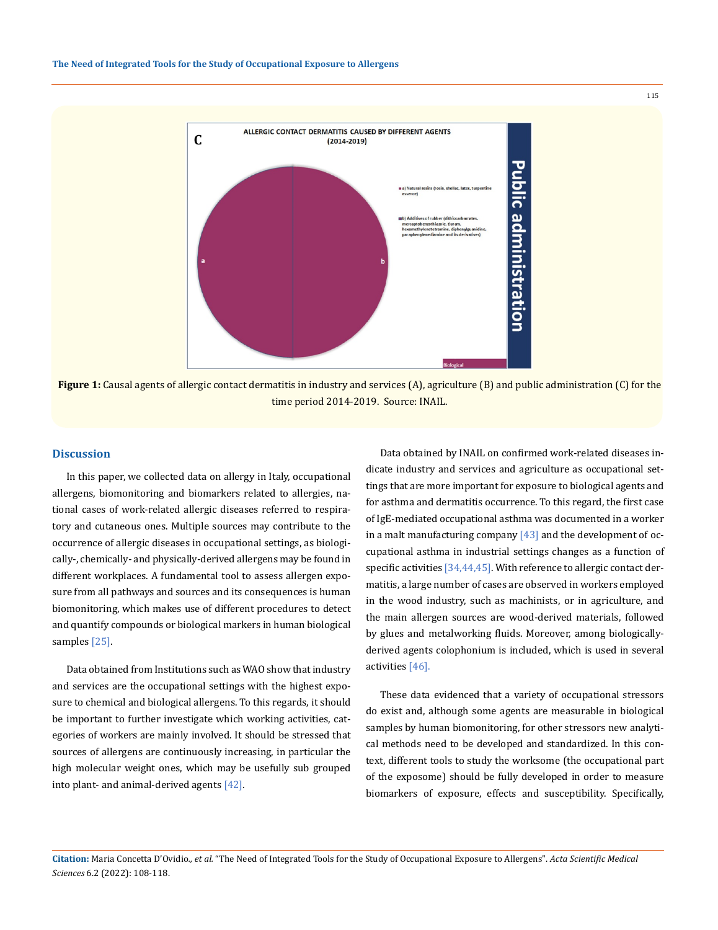

**Figure 1:** Causal agents of allergic contact dermatitis in industry and services (A), agriculture (B) and public administration (C) for the time period 2014-2019. Source: INAIL.

#### **Discussion**

In this paper, we collected data on allergy in Italy, occupational allergens, biomonitoring and biomarkers related to allergies, national cases of work-related allergic diseases referred to respiratory and cutaneous ones. Multiple sources may contribute to the occurrence of allergic diseases in occupational settings, as biologically-, chemically- and physically-derived allergens may be found in different workplaces. A fundamental tool to assess allergen exposure from all pathways and sources and its consequences is human biomonitoring, which makes use of different procedures to detect and quantify compounds or biological markers in human biological samples [25].

Data obtained from Institutions such as WAO show that industry and services are the occupational settings with the highest exposure to chemical and biological allergens. To this regards, it should be important to further investigate which working activities, categories of workers are mainly involved. It should be stressed that sources of allergens are continuously increasing, in particular the high molecular weight ones, which may be usefully sub grouped into plant- and animal-derived agents [42].

Data obtained by INAIL on confirmed work-related diseases indicate industry and services and agriculture as occupational settings that are more important for exposure to biological agents and for asthma and dermatitis occurrence. To this regard, the first case of IgE-mediated occupational asthma was documented in a worker in a malt manufacturing company  $[43]$  and the development of occupational asthma in industrial settings changes as a function of specific activities [34,44,45]. With reference to allergic contact dermatitis, a large number of cases are observed in workers employed in the wood industry, such as machinists, or in agriculture, and the main allergen sources are wood-derived materials, followed by glues and metalworking fluids. Moreover, among biologicallyderived agents colophonium is included, which is used in several activities [46].

These data evidenced that a variety of occupational stressors do exist and, although some agents are measurable in biological samples by human biomonitoring, for other stressors new analytical methods need to be developed and standardized. In this context, different tools to study the worksome (the occupational part of the exposome) should be fully developed in order to measure biomarkers of exposure, effects and susceptibility. Specifically,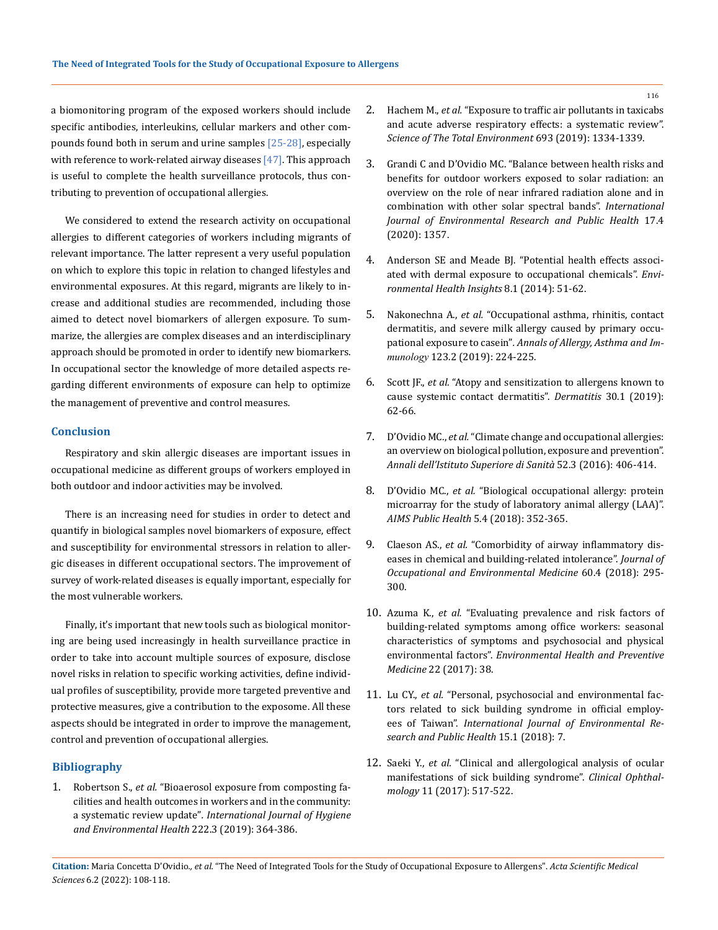a biomonitoring program of the exposed workers should include specific antibodies, interleukins, cellular markers and other compounds found both in serum and urine samples [25-28], especially with reference to work-related airway diseases [47]. This approach is useful to complete the health surveillance protocols, thus contributing to prevention of occupational allergies.

We considered to extend the research activity on occupational allergies to different categories of workers including migrants of relevant importance. The latter represent a very useful population on which to explore this topic in relation to changed lifestyles and environmental exposures. At this regard, migrants are likely to increase and additional studies are recommended, including those aimed to detect novel biomarkers of allergen exposure. To summarize, the allergies are complex diseases and an interdisciplinary approach should be promoted in order to identify new biomarkers. In occupational sector the knowledge of more detailed aspects regarding different environments of exposure can help to optimize the management of preventive and control measures.

### **Conclusion**

Respiratory and skin allergic diseases are important issues in occupational medicine as different groups of workers employed in both outdoor and indoor activities may be involved.

There is an increasing need for studies in order to detect and quantify in biological samples novel biomarkers of exposure, effect and susceptibility for environmental stressors in relation to allergic diseases in different occupational sectors. The improvement of survey of work-related diseases is equally important, especially for the most vulnerable workers.

Finally, it's important that new tools such as biological monitoring are being used increasingly in health surveillance practice in order to take into account multiple sources of exposure, disclose novel risks in relation to specific working activities, define individual profiles of susceptibility, provide more targeted preventive and protective measures, give a contribution to the exposome. All these aspects should be integrated in order to improve the management, control and prevention of occupational allergies.

#### **Bibliography**

1. Robertson S., *et al.* ["Bioaerosol exposure from composting fa](https://doi.org/10.1016/j.ijheh.2019.02.006)[cilities and health outcomes in workers and in the community:](https://doi.org/10.1016/j.ijheh.2019.02.006)  a systematic review update"*[. International Journal of Hygiene](https://doi.org/10.1016/j.ijheh.2019.02.006)  [and Environmental Health](https://doi.org/10.1016/j.ijheh.2019.02.006)* 222.3 (2019): 364-386.

- 2. Hachem M., *et al.* ["Exposure to traffic air pollutants in taxicabs](https://doi.org/10.1016/j.scitotenv.2019.07.245)  [and acute adverse respiratory effects: a systematic review".](https://doi.org/10.1016/j.scitotenv.2019.07.245)  *[Science of The Total Environment](https://doi.org/10.1016/j.scitotenv.2019.07.245)* 693 (2019): 1334-1339.
- 3. [Grandi C and D'Ovidio MC. "Balance between health risks and](https://doi.org/10.3390/ijerph17041357)  [benefits for outdoor workers exposed to solar radiation: an](https://doi.org/10.3390/ijerph17041357)  [overview on the role of near infrared radiation alone and in](https://doi.org/10.3390/ijerph17041357)  [combination with other solar spectral bands".](https://doi.org/10.3390/ijerph17041357) *International [Journal of Environmental Research and Public Health](https://doi.org/10.3390/ijerph17041357)* 17.4 [\(2020\): 1357.](https://doi.org/10.3390/ijerph17041357)
- 4. [Anderson SE and Meade BJ. "Potential health effects associ](https://doi.org/10.4137/2FEHI.S15258)[ated with dermal exposure to occupational chemicals".](https://doi.org/10.4137/2FEHI.S15258) *Envi[ronmental Health Insights](https://doi.org/10.4137/2FEHI.S15258)* 8.1 (2014): 51-62.
- 5. Nakonechna A., *et al.* ["Occupational asthma, rhinitis, contact](https://doi.org/10.1016/j.anai.2019.04.021)  [dermatitis, and severe milk allergy caused by primary occu](https://doi.org/10.1016/j.anai.2019.04.021)[pational exposure to casein"](https://doi.org/10.1016/j.anai.2019.04.021)*. Annals of Allergy, Asthma and Immunology* [123.2 \(2019\): 224-225.](https://doi.org/10.1016/j.anai.2019.04.021)
- 6. Scott JF., *et al.* ["Atopy and sensitization to allergens known to](https://doi.org/10.1097/der.0000000000000436)  [cause systemic contact dermatitis".](https://doi.org/10.1097/der.0000000000000436) *Dermatitis* 30.1 (2019): [62-66.](https://doi.org/10.1097/der.0000000000000436)
- 7. D'Ovidio MC., *et al.* ["Climate change and occupational allergies:](https://doi.org/10.4415/ANN_16_03_12)  [an overview on biological pollution, exposure and prevention".](https://doi.org/10.4415/ANN_16_03_12)  *[Annali dell'Istituto](https://doi.org/10.4415/ANN_16_03_12) Superiore di Sanità* 52.3 (2016): 406-414.
- 8. D'Ovidio MC., *et al.* ["Biological occupational allergy: protein](https://doi.org/10.3934/publichealth.2018.4.352)  [microarray for the study of laboratory animal allergy \(LAA\)".](https://doi.org/10.3934/publichealth.2018.4.352)  *[AIMS Public Health](https://doi.org/10.3934/publichealth.2018.4.352)* 5.4 (2018): 352-365.
- 9. Claeson AS., *et al.* ["Comorbidity of airway inflammatory dis](https://doi.org/10.1097/JOM.0000000000001249)[eases in chemical and building-related intolerance".](https://doi.org/10.1097/JOM.0000000000001249) *Journal of [Occupational and Environmental Medicine](https://doi.org/10.1097/JOM.0000000000001249)* 60.4 (2018): 295- [300.](https://doi.org/10.1097/JOM.0000000000001249)
- 10. Azuma K., *et al.* ["Evaluating prevalence and risk factors of](https://doi.org/10.1186/s12199-017-0645-4)  [building-related symptoms among office workers: seasonal](https://doi.org/10.1186/s12199-017-0645-4)  [characteristics of symptoms and psychosocial and physical](https://doi.org/10.1186/s12199-017-0645-4)  environmental factors". *[Environmental Health](https://doi.org/10.1186/s12199-017-0645-4) and Preventive Medicine* [22 \(2017\): 38.](https://doi.org/10.1186/s12199-017-0645-4)
- 11. Lu CY., *et al.* ["Personal, psychosocial and environmental fac](https://doi.org/10.3390/ijerph15010007)[tors related to sick building syndrome in official employ](https://doi.org/10.3390/ijerph15010007)ees of Taiwan". *[International Journal of Environmental Re](https://doi.org/10.3390/ijerph15010007)search and [Public Health](https://doi.org/10.3390/ijerph15010007)* 15.1 (2018): 7.
- 12. Saeki Y., *et al.* ["Clinical and allergological analysis of ocular](https://doi.org/10.2147/OPTH.S124500)  [manifestations of sick building syndrome".](https://doi.org/10.2147/OPTH.S124500) *Clinical Ophthalmology* [11 \(2017\): 517-522.](https://doi.org/10.2147/OPTH.S124500)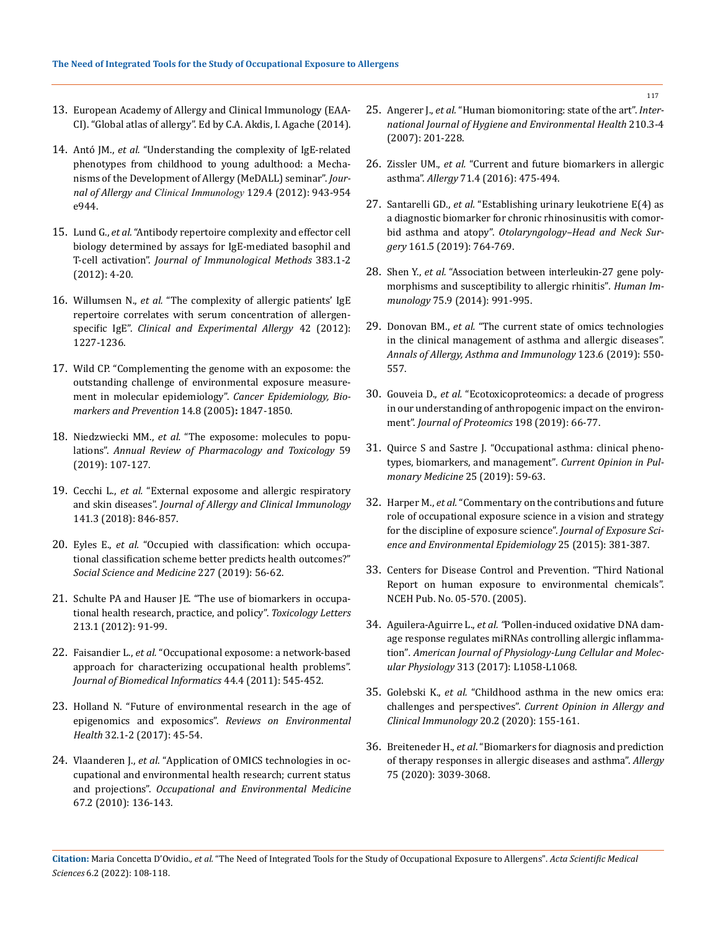- 13. European Academy of Allergy and Clinical Immunology (EAA-CI). "Global atlas of allergy". Ed by C.A. Akdis, I. Agache (2014).
- 14. Antó JM., *et al.* ["Understanding the complexity of IgE-related](https://doi.org/10.1016/j.jaci.2012.01.047)  [phenotypes from childhood to young adulthood: a Mecha](https://doi.org/10.1016/j.jaci.2012.01.047)[nisms of the Development of Allergy \(MeDALL\) seminar".](https://doi.org/10.1016/j.jaci.2012.01.047) *Journal of Allergy and Clinical Immunology* [129.4 \(2012\): 943-954](https://doi.org/10.1016/j.jaci.2012.01.047)  [e944.](https://doi.org/10.1016/j.jaci.2012.01.047)
- 15. Lund G., *et al.* ["Antibody repertoire complexity and effector cell](https://doi.org/10.1016/j.jim.2012.05.021)  [biology determined by assays for IgE-mediated basophil and](https://doi.org/10.1016/j.jim.2012.05.021)  T-cell activation". *Journal of [Immunological Methods](https://doi.org/10.1016/j.jim.2012.05.021)* 383.1-2 [\(2012\): 4-20.](https://doi.org/10.1016/j.jim.2012.05.021)
- 16. Willumsen N., *et al.* ["The complexity of allergic patients' IgE](https://doi.org/10.1111/j.1365-2222.2012.04009.x)  [repertoire correlates with serum concentration of allergen](https://doi.org/10.1111/j.1365-2222.2012.04009.x)specific IgE". *Clinical [and Experimental](https://doi.org/10.1111/j.1365-2222.2012.04009.x) Allergy* 42 (2012): [1227-1236.](https://doi.org/10.1111/j.1365-2222.2012.04009.x)
- 17. [Wild CP. "Complementing the genome with an exposome: the](https://doi.org/10.1158/1055-9965.epi-05-0456)  [outstanding challenge of environmental exposure measure](https://doi.org/10.1158/1055-9965.epi-05-0456)[ment in molecular epidemiology".](https://doi.org/10.1158/1055-9965.epi-05-0456) *Cancer Epidemiology, Biomarkers [and Prevention](https://doi.org/10.1158/1055-9965.epi-05-0456)* 14.8 (2005)**:** 1847-1850.
- 18. Niedzwiecki MM., *et al.* ["The exposome: molecules to popu](https://doi.org/10.1146/annurev-pharmtox-010818-021315)lations". *[Annual Review](https://doi.org/10.1146/annurev-pharmtox-010818-021315) of Pharmacology and Toxicology* 59 (2019): [107-127.](https://doi.org/10.1146/annurev-pharmtox-010818-021315)
- 19. Cecchi L., *et al.* ["External exposome and allergic respiratory](https://doi.org/10.1016/j.jaci.2018.01.016)  and skin diseases". *Journal of Allergy and [Clinical Immunology](https://doi.org/10.1016/j.jaci.2018.01.016)*  [141.3 \(2018\): 846-857.](https://doi.org/10.1016/j.jaci.2018.01.016)
- 20. Eyles E., *et al.* ["Occupied with classification: which occupa](https://doi.org/10.1016/j.socscimed.2018.09.020)[tional classification scheme better predicts health outcomes?"](https://doi.org/10.1016/j.socscimed.2018.09.020)  *Social Science and Medicine* [227 \(2019\): 56-62.](https://doi.org/10.1016/j.socscimed.2018.09.020)
- 21. [Schulte PA and Hauser JE. "The use of biomarkers in occupa](https://doi.org/10.1016/j.toxlet.2011.03.027)[tional health research, practice, and policy".](https://doi.org/10.1016/j.toxlet.2011.03.027) *Toxicology Letters*  [213.1 \(2012\): 91-99.](https://doi.org/10.1016/j.toxlet.2011.03.027)
- 22. Faisandier L., *et al.* ["Occupational exposome: a network-based](https://doi.org/10.1016/j.jbi.2011.02.010)  [approach for characterizing occupational health problems".](https://doi.org/10.1016/j.jbi.2011.02.010)  *[Journal of Biomedical](https://doi.org/10.1016/j.jbi.2011.02.010) Informatics* 44.4 (2011): 545-452.
- 23. [Holland N. "Future of environmental research in the age of](https://doi.org/10.1515/reveh-2016-0032)  [epigenomics and exposomics".](https://doi.org/10.1515/reveh-2016-0032) *Reviews on Environmental Health* [32.1-2 \(2017\): 45-54.](https://doi.org/10.1515/reveh-2016-0032)
- 24. Vlaanderen J., *et al.* ["Application of OMICS technologies in oc](https://doi.org/10.1136/oem.2008.042788)[cupational and environmental health research; current status](https://doi.org/10.1136/oem.2008.042788)  and projections". *Occupational and [Environmental Medicine](https://doi.org/10.1136/oem.2008.042788)*  [67.2 \(2010\): 136-143.](https://doi.org/10.1136/oem.2008.042788)
- 25. Angerer J., *et al.* ["Human biomonitoring: state of the art".](https://doi.org/10.1016/j.ijheh.2007.01.024) *International Journal of Hygiene and [Environmental Health](https://doi.org/10.1016/j.ijheh.2007.01.024)* 210.3-4 [\(2007\): 201-228.](https://doi.org/10.1016/j.ijheh.2007.01.024)
- 26. Zissler UM., *et al.* ["Current and future biomarkers in allergic](https://doi.org/10.1111/all.12828)  asthma". *Allergy* [71.4 \(2016\): 475-494.](https://doi.org/10.1111/all.12828)
- 27. Santarelli GD., *et al.* ["Establishing urinary leukotriene E\(4\) as](https://doi.org/10.1177/0194599819871700)  [a diagnostic biomarker for chronic rhinosinusitis with comor](https://doi.org/10.1177/0194599819871700)bid asthma and atopy". *[Otolaryngology–Head](https://doi.org/10.1177/0194599819871700) and Neck Surgery* [161.5 \(2019\):](https://doi.org/10.1177/0194599819871700) 764-769.
- 28. Shen Y., *et al.* ["Association between interleukin-27 gene poly](https://doi.org/10.1016/j.humimm.2014.07.004)[morphisms and susceptibility to allergic rhinitis"](https://doi.org/10.1016/j.humimm.2014.07.004)*. Human Immunology* [75.9 \(2014\): 991-995.](https://doi.org/10.1016/j.humimm.2014.07.004)
- 29. Donovan BM., *et al.* ["The current state of omics technologies](https://doi.org/10.1016/j.anai.2019.08.460)  [in the clinical management of asthma and allergic diseases".](https://doi.org/10.1016/j.anai.2019.08.460)  *[Annals of Allergy, Asthma and Immunology](https://doi.org/10.1016/j.anai.2019.08.460)* 123.6 (2019): 550- [557.](https://doi.org/10.1016/j.anai.2019.08.460)
- 30. Gouveia D., *et al.* ["Ecotoxicoproteomics: a decade of progress](https://doi.org/10.1016/j.jprot.2018.12.001)  [in our understanding of anthropogenic impact on the environ](https://doi.org/10.1016/j.jprot.2018.12.001)ment". *[Journal of Proteomics](https://doi.org/10.1016/j.jprot.2018.12.001)* 198 (2019): 66-77.
- 31. [Quirce S and Sastre J. "Occupational asthma: clinical pheno](https://doi.org/10.1097/MCP.0000000000000535)[types, biomarkers, and management"](https://doi.org/10.1097/MCP.0000000000000535)*. Current Opinion in Pul[monary Medicine](https://doi.org/10.1097/MCP.0000000000000535)* 25 (2019): 59-63.
- 32. Harper M., *et al.* ["Commentary on the contributions and future](https://doi.org/10.1038/jes.2014.91)  [role of occupational exposure science in a vision and strategy](https://doi.org/10.1038/jes.2014.91)  [for the discipline of exposure science".](https://doi.org/10.1038/jes.2014.91) *Journal of Exposure Sci[ence and Environmental Epidemiology](https://doi.org/10.1038/jes.2014.91)* 25 (2015): 381-387.
- 33. Centers for Disease Control and Prevention. "Third National Report on human exposure to environmental chemicals". NCEH Pub. No. 05-570. (2005).
- 34. Aguilera-Aguirre L., *et al. "*[Pollen-induced oxidative DNA dam](https://doi.org/10.1152/ajplung.00141.2017)[age response regulates miRNAs controlling allergic inflamma](https://doi.org/10.1152/ajplung.00141.2017)tion"*[. American Journal of Physiology-Lung Cellular and Molec](https://doi.org/10.1152/ajplung.00141.2017)ular Physiology* 313 [\(2017\): L1058-L1068.](https://doi.org/10.1152/ajplung.00141.2017)
- 35. Golebski K., *et al.* ["Childhood asthma in the new omics era:](https://doi.org/10.1097/aci.0000000000000626)  challenges and perspectives". *[Current Opinion in Allergy and](https://doi.org/10.1097/aci.0000000000000626)  [Clinical Immunology](https://doi.org/10.1097/aci.0000000000000626)* 20.2 (2020): 155-161.
- 36. Breiteneder H., *et al*[. "Biomarkers for diagnosis and prediction](https://doi.org/10.1111/all.14582)  [of therapy responses in allergic diseases and asthma".](https://doi.org/10.1111/all.14582) *Allergy* [75 \(2020\): 3039-3068.](https://doi.org/10.1111/all.14582)